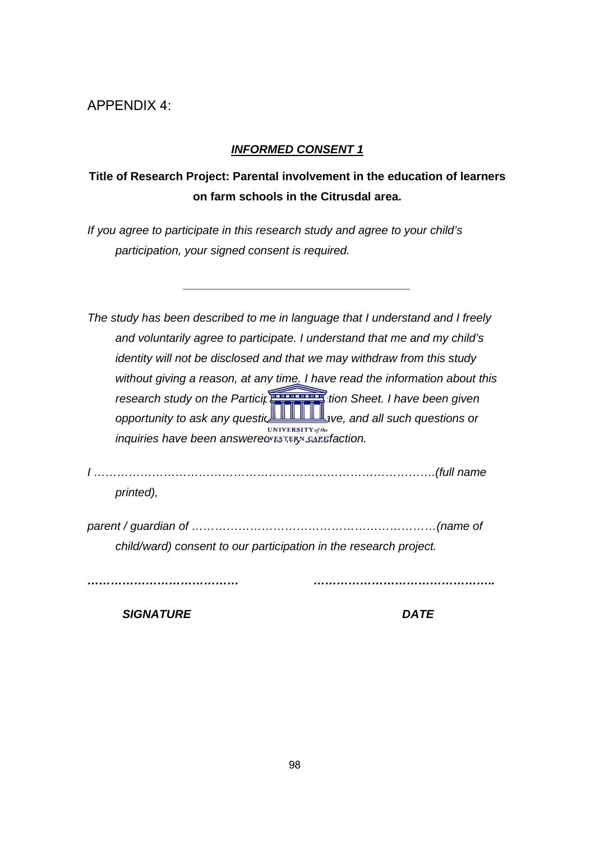# APPENDIX 4:

#### *INFORMED CONSENT 1*

# **Title of Research Project: Parental involvement in the education of learners on farm schools in the Citrusdal area.**

*\_\_\_\_\_\_\_\_\_\_\_\_\_\_\_\_\_\_\_\_\_\_\_\_\_\_\_\_\_\_\_\_\_\_\_* 

*If you agree to participate in this research study and agree to your child's participation, your signed consent is required.* 

| The study has been described to me in language that I understand and I freely |
|-------------------------------------------------------------------------------|
| and voluntarily agree to participate. I understand that me and my child's     |
| identity will not be disck.<br>vithdraw from this study                       |
| d the information about this<br>without giving a reason,                      |
| research study on the F<br>theet. I have been given                           |
| opportunity to ask any comportunity<br>all such questions or                  |
| inquiries have been ansUNIVERSITY of then.                                    |
| <b>WESTERN CAPE</b>                                                           |
|                                                                               |
| printed),                                                                     |
|                                                                               |
| child/ward) consent to our participation in the research project.             |
|                                                                               |

*SIGNATURE DATE*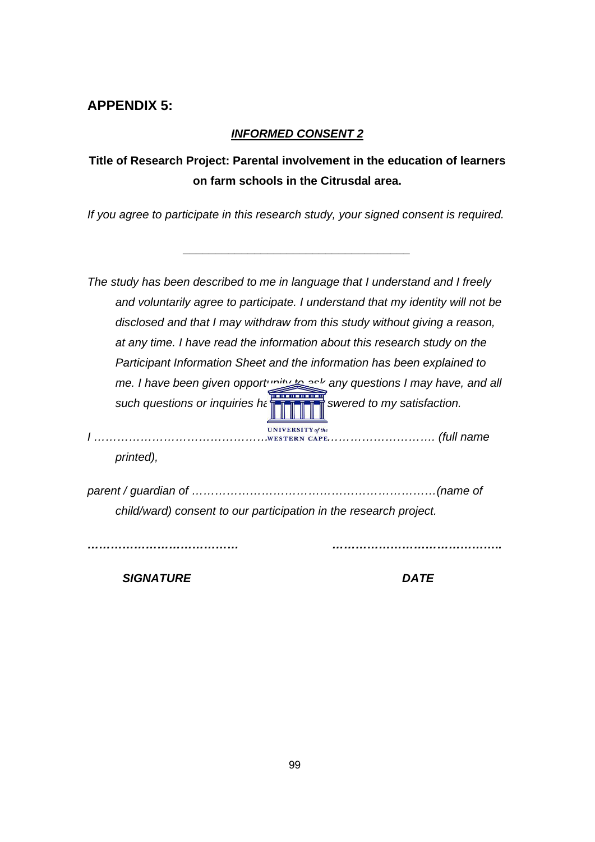# **APPENDIX 5:**

### *INFORMED CONSENT 2*

# **Title of Research Project: Parental involvement in the education of learners on farm schools in the Citrusdal area.**

*If you agree to participate in this research study, your signed consent is required.* 

*\_\_\_\_\_\_\_\_\_\_\_\_\_\_\_\_\_\_\_\_\_\_\_\_\_\_\_\_\_\_\_\_\_\_\_* 

*The study has been described to me in language that I understand and I freely and voluntarily agree to participate. I understand that my identity will not be disclosed and that I may withdraw from this study without giving a reason, at any time. I have read the information about this research study on the Participant Information Sheet and the information has been explained to me. I have been given opportunity to ask any questions I may have, and all such questions or inquiries have been answered to my satisfaction.* 

*I ……………………………………………………………………………. (full name*  **WESTERN CAPE** *printed),* 

*parent / guardian of ………………………………………………………(name of child/ward) consent to our participation in the research project.* 

*………………………………… ……………………………………..* 

*SIGNATURE DATE*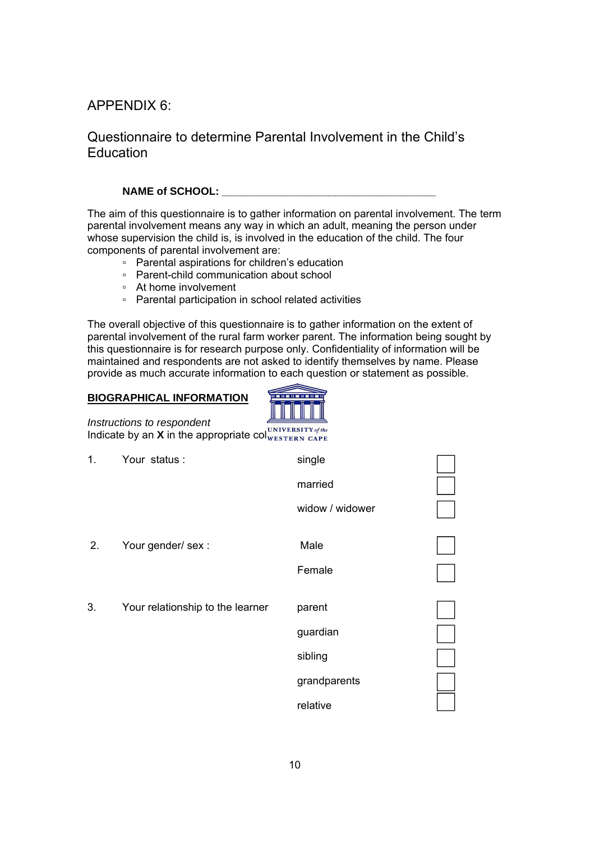## APPENDIX 6:

## Questionnaire to determine Parental Involvement in the Child's Education

#### NAME of SCHOOL:

The aim of this questionnaire is to gather information on parental involvement. The term parental involvement means any way in which an adult, meaning the person under whose supervision the child is, is involved in the education of the child. The four components of parental involvement are:

- Parental aspirations for children's education
- Parent-child communication about school
- At home involvement
- Parental participation in school related activities

The overall objective of this questionnaire is to gather information on the extent of parental involvement of the rural farm worker parent. The information being sought by this questionnaire is for research purpose only. Confidentiality of information will be maintained and respondents are not asked to identify themselves by name. Please provide as much accurate information to each question or statement as possible.

|                | <b>BIOGRAPHICAL INFORMATION</b>                                           |                  |  |
|----------------|---------------------------------------------------------------------------|------------------|--|
|                | Instructions to respondent<br>Indicate by an X in the appropriate column. | I of the         |  |
| 1.             | Your status:                                                              | WESTERSingle APE |  |
|                |                                                                           | married          |  |
|                |                                                                           | widow / widower  |  |
| 2 <sub>1</sub> | Your gender/ sex :                                                        | Male             |  |
|                |                                                                           | Female           |  |
| 3.             | Your relationship to the learner                                          | parent           |  |
|                |                                                                           | guardian         |  |
|                |                                                                           | sibling          |  |
|                |                                                                           | grandparents     |  |
|                |                                                                           | relative         |  |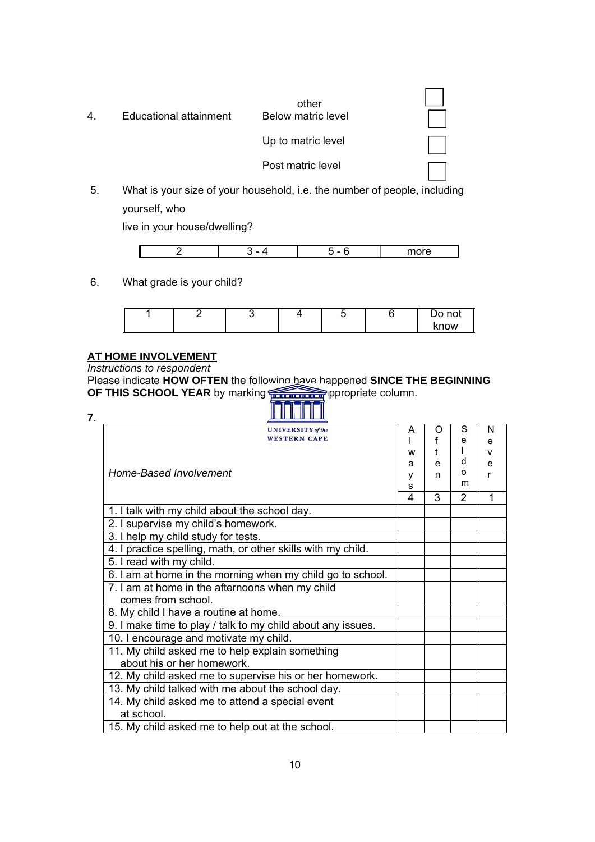| 4. | Educational attainment | other<br><b>Below matric level</b> |  |
|----|------------------------|------------------------------------|--|
|    |                        | Up to matric level                 |  |
|    |                        | Post matric level                  |  |

5. What is your size of your household, i.e. the number of people, including yourself, who

live in your house/dwelling?

|  | _ | $- - - - -$<br>ъ. |
|--|---|-------------------|

6. What grade is your child?

|  |  |  | not<br>◡    |
|--|--|--|-------------|
|  |  |  | <b>cnow</b> |

## **AT HOME INVOLVEMENT**

*Instructions to respondent* 

Please indicate **HOW OFTEN** the following have happened **SINCE THE BEGINNING OF THIS SCHOOL YEAR** by marking an **X** in the appropriate column.

**7**.

| <b>UNIVERSITY</b> of the                                     | A | O | S<br>e         | N<br>e       |
|--------------------------------------------------------------|---|---|----------------|--------------|
| WESTERN CAPE                                                 | W |   |                | $\mathsf{v}$ |
|                                                              | a | e | d              | e            |
| Home-Based Involvement                                       | ٧ | n | o<br>m         | r            |
|                                                              | S |   |                |              |
|                                                              | 4 | 3 | $\overline{2}$ | 1            |
| 1. I talk with my child about the school day.                |   |   |                |              |
| 2. I supervise my child's homework.                          |   |   |                |              |
| 3. I help my child study for tests.                          |   |   |                |              |
| 4. I practice spelling, math, or other skills with my child. |   |   |                |              |
| 5. I read with my child.                                     |   |   |                |              |
| 6. I am at home in the morning when my child go to school.   |   |   |                |              |
| 7. I am at home in the afternoons when my child              |   |   |                |              |
| comes from school.                                           |   |   |                |              |
| 8. My child I have a routine at home.                        |   |   |                |              |
| 9. I make time to play / talk to my child about any issues.  |   |   |                |              |
| 10. I encourage and motivate my child.                       |   |   |                |              |
| 11. My child asked me to help explain something              |   |   |                |              |
| about his or her homework.                                   |   |   |                |              |
| 12. My child asked me to supervise his or her homework.      |   |   |                |              |
| 13. My child talked with me about the school day.            |   |   |                |              |
| 14. My child asked me to attend a special event              |   |   |                |              |
| at school.                                                   |   |   |                |              |
| 15. My child asked me to help out at the school.             |   |   |                |              |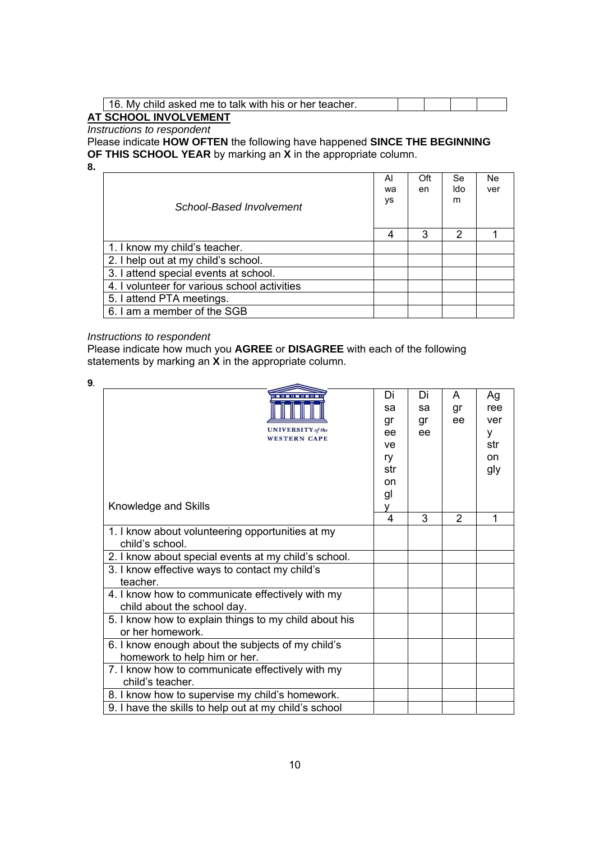| . My child asked me to talk with his or her teacher. |  |  |
|------------------------------------------------------|--|--|
| T COUGOL INVOLVEMENT                                 |  |  |

#### **AT SCHOOL INVOLVEMENT**  *Instructions to respondent*

Please indicate **HOW OFTEN** the following have happened **SINCE THE BEGINNING OF THIS SCHOOL YEAR** by marking an **X** in the appropriate column. **8.** 

| School-Based Involvement                     | Al<br>wa<br>ys | Oft<br>en | Se<br>ldo<br>m | Ne.<br>ver |
|----------------------------------------------|----------------|-----------|----------------|------------|
|                                              | 4              | 3         | 2              |            |
| 1. I know my child's teacher.                |                |           |                |            |
| 2. I help out at my child's school.          |                |           |                |            |
| 3. I attend special events at school.        |                |           |                |            |
| 4. I volunteer for various school activities |                |           |                |            |
| 5. I attend PTA meetings.                    |                |           |                |            |
| 6. I am a member of the SGB                  |                |           |                |            |

#### *Instructions to respondent*

Please indicate how much you **AGREE** or **DISAGREE** with each of the following statements by marking an **X** in the appropriate column.

| <b>UNIVERSITY</b> of the<br>WESTERN CAPE<br>Knowledge and Skills                                                                                                              | Di<br>sa<br>gr<br>ee<br>ve<br>ry<br>str<br>on<br>gl<br>v | Di<br>sa<br>gr<br>ee | A<br>gr<br>ee  | Ag<br>ree<br>ver<br>y<br>str<br><b>on</b><br>gly |
|-------------------------------------------------------------------------------------------------------------------------------------------------------------------------------|----------------------------------------------------------|----------------------|----------------|--------------------------------------------------|
|                                                                                                                                                                               | 4                                                        | 3                    | $\overline{2}$ | 1                                                |
| 1. I know about volunteering opportunities at my<br>child's school.<br>2. I know about special events at my child's school.<br>3. I know effective ways to contact my child's |                                                          |                      |                |                                                  |
| teacher.                                                                                                                                                                      |                                                          |                      |                |                                                  |
| 4. I know how to communicate effectively with my<br>child about the school day.                                                                                               |                                                          |                      |                |                                                  |
| 5. I know how to explain things to my child about his<br>or her homework.                                                                                                     |                                                          |                      |                |                                                  |
| 6. I know enough about the subjects of my child's<br>homework to help him or her.                                                                                             |                                                          |                      |                |                                                  |
| 7. I know how to communicate effectively with my<br>child's teacher.                                                                                                          |                                                          |                      |                |                                                  |
| 8. I know how to supervise my child's homework.                                                                                                                               |                                                          |                      |                |                                                  |
| 9. I have the skills to help out at my child's school                                                                                                                         |                                                          |                      |                |                                                  |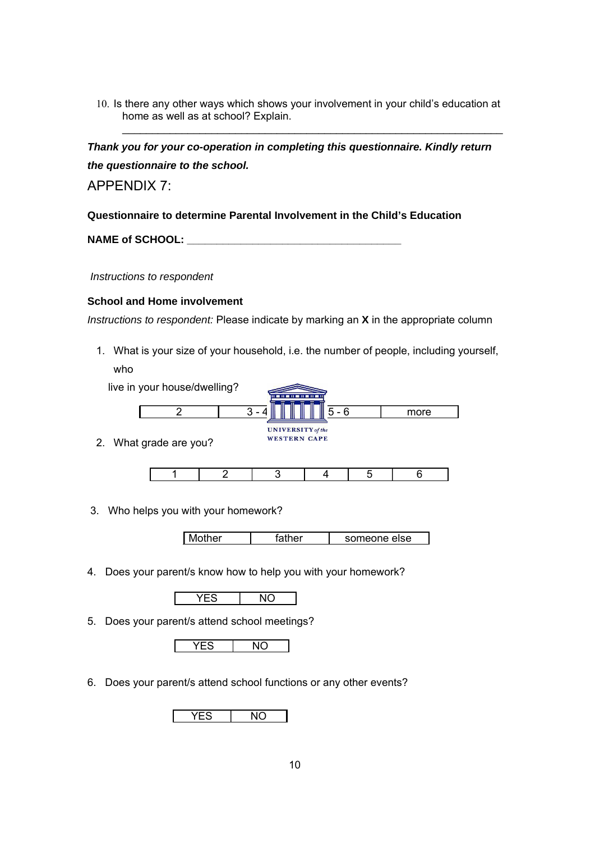10. Is there any other ways which shows your involvement in your child's education at home as well as at school? Explain.

\_\_\_\_\_\_\_\_\_\_\_\_\_\_\_\_\_\_\_\_\_\_\_\_\_\_\_\_\_\_\_\_\_\_\_\_\_\_\_\_\_\_\_\_\_\_\_\_\_\_\_\_\_\_\_\_\_\_\_\_\_\_\_\_

*Thank you for your co-operation in completing this questionnaire. Kindly return the questionnaire to the school.* 

APPENDIX 7:

**Questionnaire to determine Parental Involvement in the Child's Education** 

**NAME of SCHOOL: \_\_\_\_\_\_\_\_\_\_\_\_\_\_\_\_\_\_\_\_\_\_\_\_\_\_\_\_\_\_\_\_\_\_\_\_** 

 *Instructions to respondent* 

#### **School and Home involvement**

*Instructions to respondent:* Please indicate by marking an **X** in the appropriate column

1. What is your size of your household, i.e. the number of people, including yourself,

| who |                              |   | 11 <b>12 11 12 11 12 11 12 11 12 11</b> |         |      |  |
|-----|------------------------------|---|-----------------------------------------|---------|------|--|
|     | live in your house/dwelling? |   |                                         |         |      |  |
|     |                              | 3 |                                         | $5 - 6$ | more |  |
|     | 2. What grade are you?       |   | <b>UNIVERSITY</b> of the                |         |      |  |
|     |                              |   | <b>WESTERN CAPE</b>                     |         |      |  |
|     |                              |   |                                         |         |      |  |

3. Who helps you with your homework?

| Mother | father | someone else |
|--------|--------|--------------|
|--------|--------|--------------|

4. Does your parent/s know how to help you with your homework?

YES NO

5. Does your parent/s attend school meetings?



6. Does your parent/s attend school functions or any other events?

|--|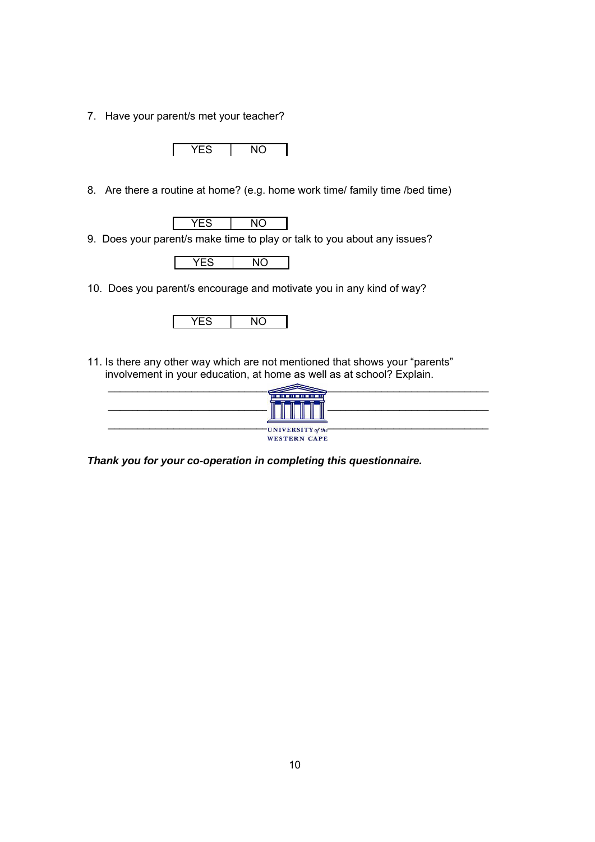7. Have your parent/s met your teacher?

YES NO

8. Are there a routine at home? (e.g. home work time/ family time /bed time)

YES | NO

9. Does your parent/s make time to play or talk to you about any issues?



10. Does you parent/s encourage and motivate you in any kind of way?



11. Is there any other way which are not mentioned that shows your "parents" involvement in your education, at home as well as at school? Explain.



*Thank you for your co-operation in completing this questionnaire.*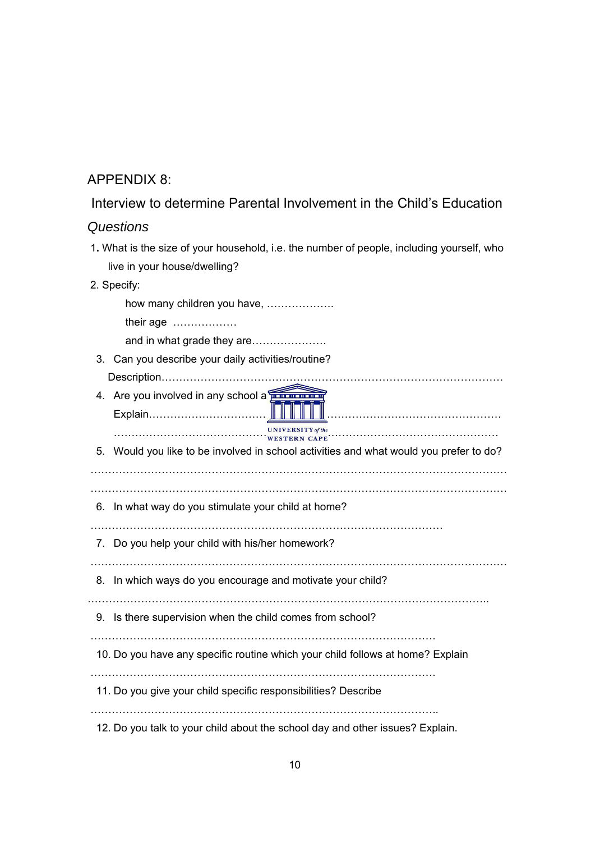## APPENDIX 8:

### Interview to determine Parental Involvement in the Child's Education

#### *Questions*

1**.** What is the size of your household, i.e. the number of people, including yourself, who live in your house/dwelling?

#### 2. Specify:

 how many children you have, ………………. their age ……………… and in what grade they are………………… 3. Can you describe your daily activities/routine? Description…………………………………………………………………………………… 4. Are you involved in any school activity? Explain……………………………………………………………………………………… ……………………………………………………………………………………………… 5. Would you like to be involved in school activities and what would you prefer to do? ……………………………………………………………………………………………………… ……………………………………………………………………………………………………… 6. In what way do you stimulate your child at home? ……………………………………………………………………………………… 7. Do you help your child with his/her homework? ……………………………………………………………………………………………………… 8. In which ways do you encourage and motivate your child? ………………………………………………………………………………………………….. 9. Is there supervision when the child comes from school? ……………………………………………………………………………………. 10. Do you have any specific routine which your child follows at home? Explain ……………………………………………………………………………………. 11. Do you give your child specific responsibilities? Describe  $\mathcal{L}^{(n)}$ 12. Do you talk to your child about the school day and other issues? Explain.